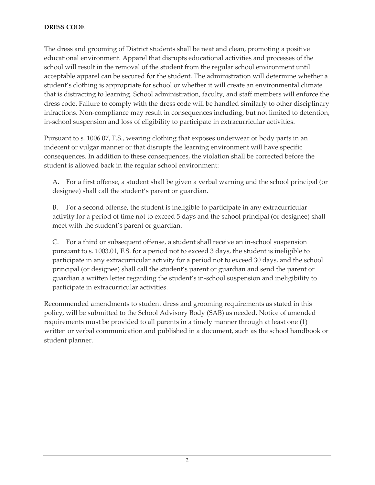## **DRESS CODE**

The dress and grooming of District students shall be neat and clean, promoting a positive educational environment. Apparel that disrupts educational activities and processes of the school will result in the removal of the student from the regular school environment until acceptable apparel can be secured for the student. The administration will determine whether a student's clothing is appropriate for school or whether it will create an environmental climate that is distracting to learning. School administration, faculty, and staff members will enforce the dress code. Failure to comply with the dress code will be handled similarly to other disciplinary infractions. Non-compliance may result in consequences including, but not limited to detention, in-school suspension and loss of eligibility to participate in extracurricular activities.

Pursuant to s. 1006.07, F.S., wearing clothing that exposes underwear or body parts in an indecent or vulgar manner or that disrupts the learning environment will have specific consequences. In addition to these consequences, the violation shall be corrected before the student is allowed back in the regular school environment:

A. For a first offense, a student shall be given a verbal warning and the school principal (or designee) shall call the student's parent or guardian.

B. For a second offense, the student is ineligible to participate in any extracurricular activity for a period of time not to exceed 5 days and the school principal (or designee) shall meet with the student's parent or guardian.

C. For a third or subsequent offense, a student shall receive an in-school suspension pursuant to s. 1003.01, F.S. for a period not to exceed 3 days, the student is ineligible to participate in any extracurricular activity for a period not to exceed 30 days, and the school principal (or designee) shall call the student's parent or guardian and send the parent or guardian a written letter regarding the student's in-school suspension and ineligibility to participate in extracurricular activities.

Recommended amendments to student dress and grooming requirements as stated in this policy, will be submitted to the School Advisory Body (SAB) as needed. Notice of amended requirements must be provided to all parents in a timely manner through at least one (1) written or verbal communication and published in a document, such as the school handbook or student planner.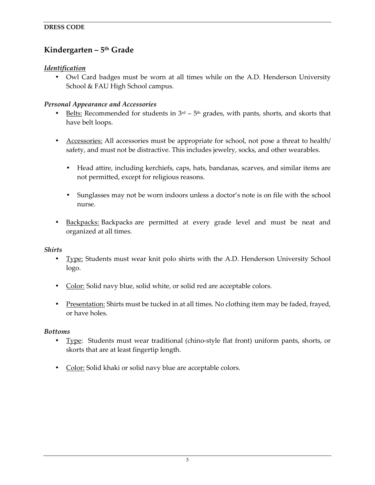# **Kindergarten – 5th Grade**

## *Identification*

• Owl Card badges must be worn at all times while on the A.D. Henderson University School & FAU High School campus.

#### *Personal Appearance and Accessories*

- Belts: Recommended for students in  $3<sup>rd</sup> 5<sup>th</sup>$  grades, with pants, shorts, and skorts that have belt loops.
- Accessories: All accessories must be appropriate for school, not pose a threat to health/ safety, and must not be distractive. This includes jewelry, socks, and other wearables.
	- Head attire, including kerchiefs, caps, hats, bandanas, scarves, and similar items are not permitted, except for religious reasons.
	- Sunglasses may not be worn indoors unless a doctor's note is on file with the school nurse.
- Backpacks: Backpacks are permitted at every grade level and must be neat and organized at all times.

#### *Shirts*

- Type: Students must wear knit polo shirts with the A.D. Henderson University School logo.
- Color: Solid navy blue, solid white, or solid red are acceptable colors.
- Presentation: Shirts must be tucked in at all times. No clothing item may be faded, frayed, or have holes.

#### *Bottoms*

- Type: Students must wear traditional (chino-style flat front) uniform pants, shorts, or skorts that are at least fingertip length.
- Color: Solid khaki or solid navy blue are acceptable colors.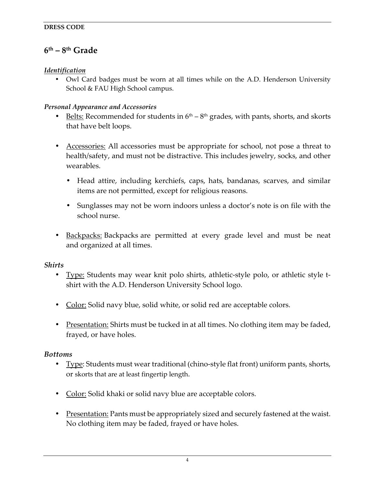# **6th – 8th Grade**

## *Identification*

• Owl Card badges must be worn at all times while on the A.D. Henderson University School & FAU High School campus.

## *Personal Appearance and Accessories*

- Belts: Recommended for students in  $6<sup>th</sup> 8<sup>th</sup>$  grades, with pants, shorts, and skorts that have belt loops.
- Accessories: All accessories must be appropriate for school, not pose a threat to health/safety, and must not be distractive. This includes jewelry, socks, and other wearables.
	- Head attire, including kerchiefs, caps, hats, bandanas, scarves, and similar items are not permitted, except for religious reasons.
	- Sunglasses may not be worn indoors unless a doctor's note is on file with the school nurse.
- **Backpacks:** Backpacks are permitted at every grade level and must be neat and organized at all times.

## *Shirts*

- Type: Students may wear knit polo shirts, athletic-style polo, or athletic style tshirt with the A.D. Henderson University School logo.
- Color: Solid navy blue, solid white, or solid red are acceptable colors.
- Presentation: Shirts must be tucked in at all times. No clothing item may be faded, frayed, or have holes.

#### *Bottoms*

- Type: Students must wear traditional (chino-style flat front) uniform pants, shorts, or skorts that are at least fingertip length.
- Color: Solid khaki or solid navy blue are acceptable colors.
- Presentation: Pants must be appropriately sized and securely fastened at the waist. No clothing item may be faded, frayed or have holes.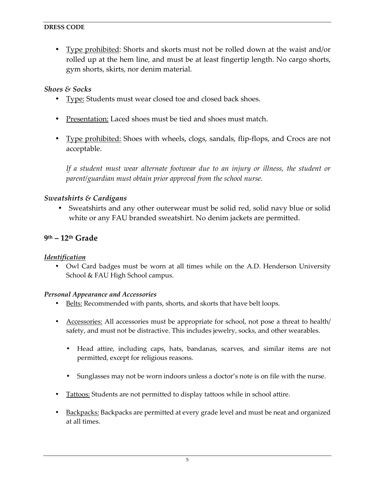• Type prohibited: Shorts and skorts must not be rolled down at the waist and/or rolled up at the hem line, and must be at least fingertip length. No cargo shorts, gym shorts, skirts, nor denim material.

# *Shoes & Socks*

- Type: Students must wear closed toe and closed back shoes.
- Presentation: Laced shoes must be tied and shoes must match.
- Type prohibited: Shoes with wheels, clogs, sandals, flip-flops, and Crocs are not acceptable.

*If a student must wear alternate footwear due to an injury or illness, the student or parent/guardian must obtain prior approval from the school nurse.*

# *Sweatshirts & Cardigans*

• Sweatshirts and any other outerwear must be solid red, solid navy blue or solid white or any FAU branded sweatshirt. No denim jackets are permitted.

# **9th – 12th Grade**

## *Identification*

• Owl Card badges must be worn at all times while on the A.D. Henderson University School & FAU High School campus.

#### *Personal Appearance and Accessories*

- Belts: Recommended with pants, shorts, and skorts that have belt loops.
- Accessories: All accessories must be appropriate for school, not pose a threat to health/ safety, and must not be distractive. This includes jewelry, socks, and other wearables.
	- Head attire, including caps, hats, bandanas, scarves, and similar items are not permitted, except for religious reasons.
	- Sunglasses may not be worn indoors unless a doctor's note is on file with the nurse.
- Tattoos: Students are not permitted to display tattoos while in school attire.
- Backpacks: Backpacks are permitted at every grade level and must be neat and organized at all times.